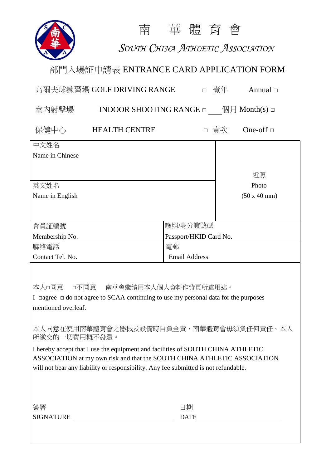

南 華 體 育 會

*SOUTH CHINA ATHLETIC ASSOCIATION*

## 部門入場証申請表 ENTRANCE CARD APPLICATION FORM

| 高爾夫球練習場 GOLF DRIVING RANGE<br>$\Box$                                                                                                                         |                                                                                  | 壹年                     | Annual $\Box$ |                   |  |
|--------------------------------------------------------------------------------------------------------------------------------------------------------------|----------------------------------------------------------------------------------|------------------------|---------------|-------------------|--|
| 室内射擊場                                                                                                                                                        | <b>INDOOR SHOOTING RANGE</b> $\Box$ ( $\Box$ ) $\Box$ ( $\Box$ ) Month(s) $\Box$ |                        |               |                   |  |
| 保健中心                                                                                                                                                         | <b>HEALTH CENTRE</b>                                                             |                        | □ 壹次          | One-off $\square$ |  |
| 中文姓名                                                                                                                                                         |                                                                                  |                        |               |                   |  |
| Name in Chinese                                                                                                                                              |                                                                                  |                        |               |                   |  |
|                                                                                                                                                              |                                                                                  |                        |               | 近照                |  |
| 英文姓名                                                                                                                                                         |                                                                                  |                        |               | Photo             |  |
| Name in English                                                                                                                                              |                                                                                  |                        |               | (50 x 40 mm)      |  |
|                                                                                                                                                              |                                                                                  |                        |               |                   |  |
| 會員証編號                                                                                                                                                        |                                                                                  | 護照/身分證號碼               |               |                   |  |
| Membership No.                                                                                                                                               |                                                                                  | Passport/HKID Card No. |               |                   |  |
| 聯絡電話                                                                                                                                                         |                                                                                  | 電郵                     |               |                   |  |
| Contact Tel. No.                                                                                                                                             |                                                                                  | <b>Email Address</b>   |               |                   |  |
| 本人□同意<br>□不同意  南華會繼續用本人個人資料作背頁所述用途。<br>I $\Box$ agree $\Box$ do not agree to SCAA continuing to use my personal data for the purposes<br>mentioned overleaf. |                                                                                  |                        |               |                   |  |
|                                                                                                                                                              | 本人同意在使用南華體育會之器械及設備時自負全責,南華體育會毋須負任何責任。本人                                          |                        |               |                   |  |

所繳交的一切費用概不發還。

I hereby accept that I use the equipment and facilities of SOUTH CHINA ATHLETIC ASSOCIATION at my own risk and that the SOUTH CHINA ATHLETIC ASSOCIATION will not bear any liability or responsibility. Any fee submitted is not refundable.

| 簽署               | 劮                                        |
|------------------|------------------------------------------|
| <b>SIGNATURE</b> | $\mathbf{D}\Delta \mathbf{T} \mathbf{F}$ |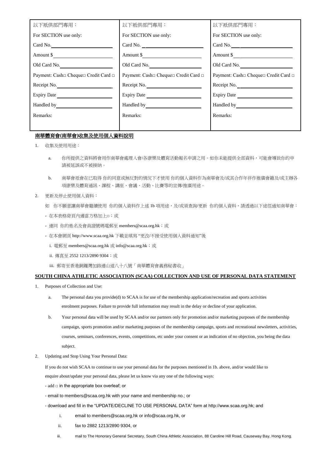| 以下衹供部門專用:                            | 以下衹供部門專用:                                                                                                                                                                                                                            | 以下衹供部門專用:                            |
|--------------------------------------|--------------------------------------------------------------------------------------------------------------------------------------------------------------------------------------------------------------------------------------|--------------------------------------|
| For SECTION use only:                | For SECTION use only:                                                                                                                                                                                                                | For SECTION use only:                |
| Card No.                             | Card No.                                                                                                                                                                                                                             | Card No.                             |
| Amount \$                            | Amount \$                                                                                                                                                                                                                            | Amount \$                            |
| Old Card No.                         | Old Card No.                                                                                                                                                                                                                         | Old Card No.                         |
| Payment: Cash□ Cheque□ Credit Card □ | Payment: Cash□ Cheque□ Credit Card □                                                                                                                                                                                                 | Payment: Cash□ Cheque□ Credit Card □ |
| Receipt No.                          | Receipt No.                                                                                                                                                                                                                          | Receipt No.                          |
| Expiry Date                          |                                                                                                                                                                                                                                      |                                      |
| Handled by                           | Handled by <b>Figure 1.1 Figure 1.1 Figure 1.1 Figure 1.1 Figure 1.1 Figure 1.1 Figure 1.1 Figure 1.1 Figure 1.1 Figure 1.1 Figure 1.1 Figure 1.1 Figure 1.1 Figure 1.1 Figure 1.1 Figure 1.1 Figure 1.1 Figure 1.1 Figure 1.1 F</b> | Handled by <b>Figure 1.1</b>         |
| Remarks:                             | Remarks:                                                                                                                                                                                                                             | Remarks:                             |
|                                      |                                                                                                                                                                                                                                      |                                      |

## 南華體育會**(**南華會**)**收集及使用個人資料說明

- 1. 收集及使用用途:
	- a. 你所提供之資料將會用作南華會處理入會/各康樂及體育活動報名申請之用。如你未能提供全部資料,可能會導致你的申 請被延誤或不被接納。
	- b. 南華會祇會在已取得 你的同意或無反對的情況下才使用 你的個人資料作為南華會及/或其合作年伴作推廣會籍及/或主辦各 項康樂及體育通訊、課程、講座、會議、活動、比賽等的宣傳/推廣用途。
- 2. 更新及停止使用個人資料:

如 你不願意讓南華會繼續使用 你的個人資料作上述 1b 項用途,及/或須查詢/更新 你的個人資料,請透過以下途徑通知南華會:

- 在本表格背頁內適當方格加上□;或
- 連同 你的姓名及會員證號碼電郵至 members@scaa.org.hk;或
- 在本會網頁 http://www.scaa.org.hk 下載並填寫 "更改/不接受使用個人資料通知"後
	- i. 電郵至 members@scaa.org.hk 或 info@scaa.org.hk;或
	- ii. 傳真至 2552 1213/2890 9304;或
	- iii. 郵寄至香港銅鑼灣加路連山道八十八號「南華體育會義務秘書收」

## **SOUTH CHINA ATHLETIC ASSOCIATION (SCAA) COLLECTION AND USE OF PERSONAL DATA STATEMENT**

- 1. Purposes of Collection and Use:
	- a. The personal data you provide(d) to SCAA is for use of the membership application/recreation and sports activities enrolment purposes. Failure to provide full information may result in the delay or decline of your application.
	- b. Your personal data will be used by SCAA and/or our partners only for promotion and/or marketing purposes of the membership campaign, sports promotion and/or marketing purposes of the membership campaign, sports and recreational newsletters, activities, courses, seminars, conferences, events, competitions, etc under your consent or an indication of no objection, you being the data subject.
- 2. Updating and Stop Using Your Personal Data:

If you do not wish SCAA to continue to use your personal data for the purposes mentioned in 1b. above, and/or would like to enquire about/update your personal data, please let us know via any one of the following ways:

- add □ in the appropriate box overleaf; or
- email to members@scaa.org.hk with your name and membership no.; or
- download and fill in the "UPDATE/DECLINE TO USE PERSONAL DATA" form at http://www.scaa.org.hk; and
	- i. email to members@scaa.org,hk or info@scaa.org.hk, or
	- ii. fax to 2882 1213/2890 9304, or
	- iii. mail to The Honorary General Secretary, South China Athletic Association, 88 Caroline Hill Road, Causeway Bay, Hong Kong.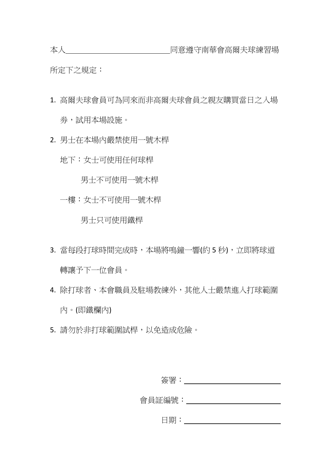所定下之規定:

- 1. 高爾夫球會員可為同來而非高爾夫球會員之親友購買當日之入場 劵,試用本場設施。
- 2. 男士在本場內嚴禁使用一號木桿

地下:女士可使用任何球桿

男士不可使用一號木桿

一樓:女士不可使用一號木桿

男士只可使用鐵桿

- 3. 當每段打球時間完成時,本場將鳴鐘一響(約5秒),立即將球道 轉讓予下一位會員。
- 4. 除打球者、本會職員及駐場教練外,其他人士嚴禁進入打球範圍 內。(即鐵欄內)
- 5. 請勿於非打球範圍試桿,以免造成危險。

| 簽署:    |  |
|--------|--|
| 會員証編號: |  |
| 日期:    |  |